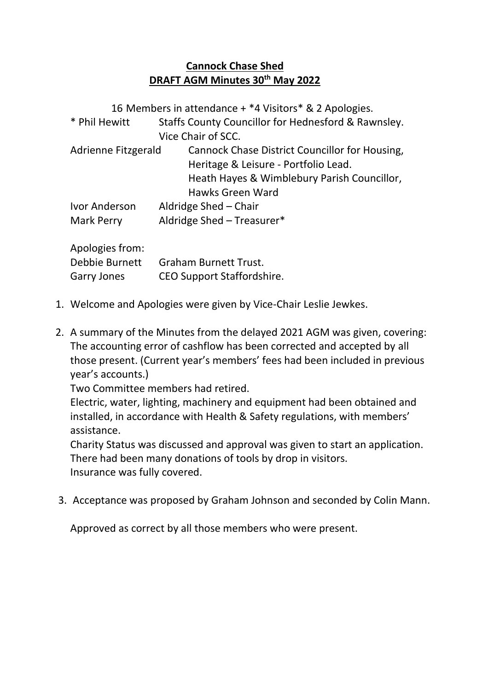## **Cannock Chase Shed DRAFT AGM Minutes 30th May 2022**

16 Members in attendance + \*4 Visitors\* & 2 Apologies. \* Phil Hewitt Staffs County Councillor for Hednesford & Rawnsley. Vice Chair of SCC. Adrienne Fitzgerald Cannock Chase District Councillor for Housing, Heritage & Leisure - Portfolio Lead. Heath Hayes & Wimblebury Parish Councillor, Hawks Green Ward Ivor Anderson Aldridge Shed – Chair Mark Perry Aldridge Shed – Treasurer\*

Apologies from: Debbie Burnett Graham Burnett Trust. Garry Jones CEO Support Staffordshire.

- 1. Welcome and Apologies were given by Vice-Chair Leslie Jewkes.
- 2. A summary of the Minutes from the delayed 2021 AGM was given, covering: The accounting error of cashflow has been corrected and accepted by all those present. (Current year's members' fees had been included in previous year's accounts.)

Two Committee members had retired.

Electric, water, lighting, machinery and equipment had been obtained and installed, in accordance with Health & Safety regulations, with members' assistance.

Charity Status was discussed and approval was given to start an application. There had been many donations of tools by drop in visitors. Insurance was fully covered.

3. Acceptance was proposed by Graham Johnson and seconded by Colin Mann.

Approved as correct by all those members who were present.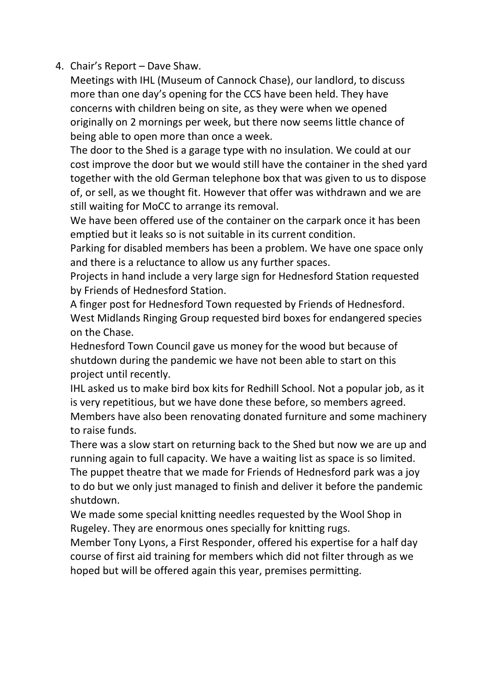4. Chair's Report – Dave Shaw.

Meetings with IHL (Museum of Cannock Chase), our landlord, to discuss more than one day's opening for the CCS have been held. They have concerns with children being on site, as they were when we opened originally on 2 mornings per week, but there now seems little chance of being able to open more than once a week.

The door to the Shed is a garage type with no insulation. We could at our cost improve the door but we would still have the container in the shed yard together with the old German telephone box that was given to us to dispose of, or sell, as we thought fit. However that offer was withdrawn and we are still waiting for MoCC to arrange its removal.

We have been offered use of the container on the carpark once it has been emptied but it leaks so is not suitable in its current condition.

Parking for disabled members has been a problem. We have one space only and there is a reluctance to allow us any further spaces.

Projects in hand include a very large sign for Hednesford Station requested by Friends of Hednesford Station.

A finger post for Hednesford Town requested by Friends of Hednesford. West Midlands Ringing Group requested bird boxes for endangered species on the Chase.

Hednesford Town Council gave us money for the wood but because of shutdown during the pandemic we have not been able to start on this project until recently.

IHL asked us to make bird box kits for Redhill School. Not a popular job, as it is very repetitious, but we have done these before, so members agreed. Members have also been renovating donated furniture and some machinery to raise funds.

There was a slow start on returning back to the Shed but now we are up and running again to full capacity. We have a waiting list as space is so limited. The puppet theatre that we made for Friends of Hednesford park was a joy to do but we only just managed to finish and deliver it before the pandemic shutdown.

We made some special knitting needles requested by the Wool Shop in Rugeley. They are enormous ones specially for knitting rugs.

Member Tony Lyons, a First Responder, offered his expertise for a half day course of first aid training for members which did not filter through as we hoped but will be offered again this year, premises permitting.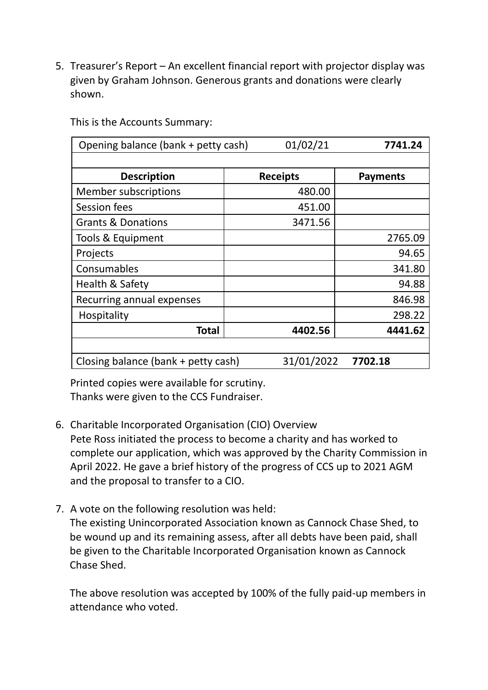5. Treasurer's Report – An excellent financial report with projector display was given by Graham Johnson. Generous grants and donations were clearly shown.

This is the Accounts Summary:

| Opening balance (bank + petty cash) | 01/02/21        | 7741.24         |
|-------------------------------------|-----------------|-----------------|
|                                     |                 |                 |
| <b>Description</b>                  | <b>Receipts</b> | <b>Payments</b> |
| <b>Member subscriptions</b>         | 480.00          |                 |
| Session fees                        | 451.00          |                 |
| <b>Grants &amp; Donations</b>       | 3471.56         |                 |
| Tools & Equipment                   |                 | 2765.09         |
| Projects                            |                 | 94.65           |
| Consumables                         |                 | 341.80          |
| Health & Safety                     |                 | 94.88           |
| Recurring annual expenses           |                 | 846.98          |
| Hospitality                         |                 | 298.22          |
| Total                               | 4402.56         | 4441.62         |
|                                     |                 |                 |
| Closing balance (bank + petty cash) | 31/01/2022      | 7702.18         |

Printed copies were available for scrutiny. Thanks were given to the CCS Fundraiser.

- 6. Charitable Incorporated Organisation (CIO) Overview Pete Ross initiated the process to become a charity and has worked to complete our application, which was approved by the Charity Commission in April 2022. He gave a brief history of the progress of CCS up to 2021 AGM and the proposal to transfer to a CIO.
- 7. A vote on the following resolution was held:

The existing Unincorporated Association known as Cannock Chase Shed, to be wound up and its remaining assess, after all debts have been paid, shall be given to the Charitable Incorporated Organisation known as Cannock Chase Shed.

The above resolution was accepted by 100% of the fully paid-up members in attendance who voted.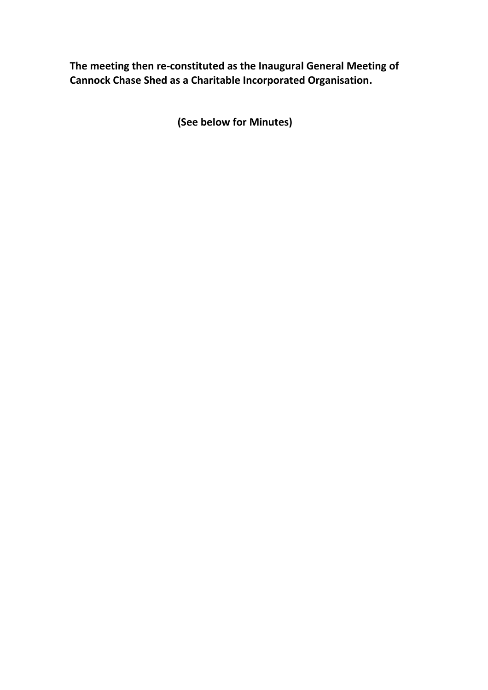**The meeting then re-constituted as the Inaugural General Meeting of Cannock Chase Shed as a Charitable Incorporated Organisation.**

**(See below for Minutes)**